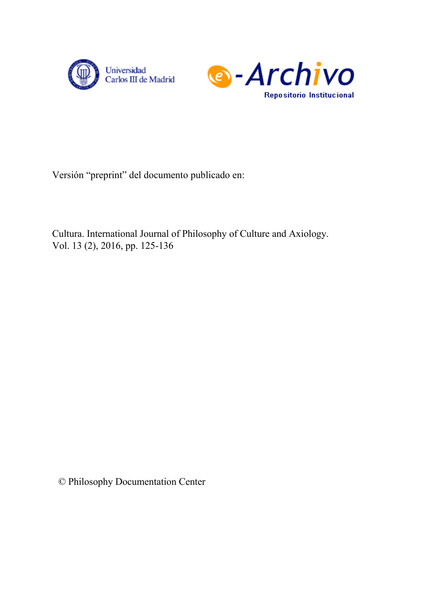



Versión "preprint" del documento publicado en:

Cultura. International Journal of Philosophy of Culture and Axiology. Vol. 13 (2), 2016, pp. 125-136

© Philosophy Documentation Center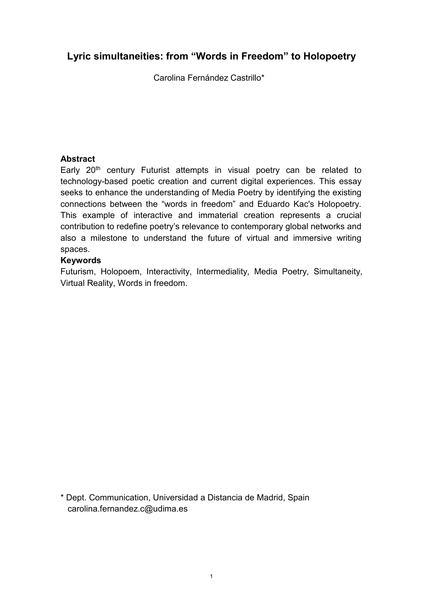# **Lyric simultaneities: from "Words in Freedom" to Holopoetry**

Carolina Fernández Castrillo\*

## **Abstract**

Early 20<sup>th</sup> century Futurist attempts in visual poetry can be related to technology-based poetic creation and current digital experiences. This essay seeks to enhance the understanding of Media Poetry by identifying the existing connections between the "words in freedom" and Eduardo Kac's Holopoetry. This example of interactive and immaterial creation represents a crucial contribution to redefine poetry's relevance to contemporary global networks and also a milestone to understand the future of virtual and immersive writing spaces.

## **Keywords**

Futurism, Holopoem, Interactivity, Intermediality, Media Poetry, Simultaneity, Virtual Reality, Words in freedom.

\* Dept. Communication, Universidad a Distancia de Madrid, Spain carolina.fernandez.c@udima.es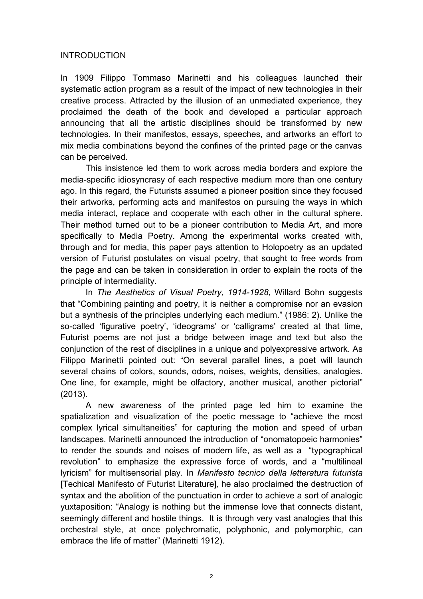### **INTRODUCTION**

In 1909 Filippo Tommaso Marinetti and his colleagues launched their systematic action program as a result of the impact of new technologies in their creative process. Attracted by the illusion of an unmediated experience, they proclaimed the death of the book and developed a particular approach announcing that all the artistic disciplines should be transformed by new technologies. In their manifestos, essays, speeches, and artworks an effort to mix media combinations beyond the confines of the printed page or the canvas can be perceived.

This insistence led them to work across media borders and explore the media-specific idiosyncrasy of each respective medium more than one century ago. In this regard, the Futurists assumed a pioneer position since they focused their artworks, performing acts and manifestos on pursuing the ways in which media interact, replace and cooperate with each other in the cultural sphere. Their method turned out to be a pioneer contribution to Media Art, and more specifically to Media Poetry. Among the experimental works created with, through and for media, this paper pays attention to Holopoetry as an updated version of Futurist postulates on visual poetry, that sought to free words from the page and can be taken in consideration in order to explain the roots of the principle of intermediality.

In *The Aesthetics of Visual Poetry, 1914-1928,* Willard Bohn suggests that "Combining painting and poetry, it is neither a compromise nor an evasion but a synthesis of the principles underlying each medium." (1986: 2). Unlike the so-called 'figurative poetry', 'ideograms' or 'calligrams' created at that time, Futurist poems are not just a bridge between image and text but also the conjunction of the rest of disciplines in a unique and polyexpressive artwork. As Filippo Marinetti pointed out: "On several parallel lines, a poet will launch several chains of colors, sounds, odors, noises, weights, densities, analogies. One line, for example, might be olfactory, another musical, another pictorial" (2013).

A new awareness of the printed page led him to examine the spatialization and visualization of the poetic message to "achieve the most complex lyrical simultaneities" for capturing the motion and speed of urban landscapes. Marinetti announced the introduction of "onomatopoeic harmonies" to render the sounds and noises of modern life, as well as a "typographical revolution" to emphasize the expressive force of words, and a "multilineal lyricism" for multisensorial play*.* In *Manifesto tecnico della letteratura futurista* [Techical Manifesto of Futurist Literature]*,* he also proclaimed the destruction of syntax and the abolition of the punctuation in order to achieve a sort of analogic yuxtaposition: "Analogy is nothing but the immense love that connects distant, seemingly different and hostile things. It is through very vast analogies that this orchestral style, at once polychromatic, polyphonic, and polymorphic, can embrace the life of matter" (Marinetti 1912).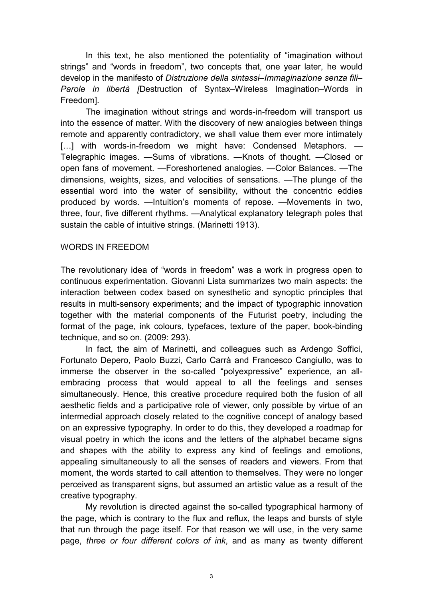In this text, he also mentioned the potentiality of "imagination without strings" and "words in freedom", two concepts that, one year later, he would develop in the manifesto of *Distruzione della sintassi–Immaginazione senza fili– Parole in libertà [*Destruction of Syntax–Wireless Imagination–Words in Freedom]*.* 

The imagination without strings and words-in-freedom will transport us into the essence of matter. With the discovery of new analogies between things remote and apparently contradictory, we shall value them ever more intimately [...] with words-in-freedom we might have: Condensed Metaphors. — Telegraphic images. —Sums of vibrations. —Knots of thought. —Closed or open fans of movement. —Foreshortened analogies. —Color Balances. —The dimensions, weights, sizes, and velocities of sensations. —The plunge of the essential word into the water of sensibility, without the concentric eddies produced by words. —Intuition's moments of repose. —Movements in two, three, four, five different rhythms. —Analytical explanatory telegraph poles that sustain the cable of intuitive strings. (Marinetti 1913).

#### WORDS IN FREEDOM

The revolutionary idea of "words in freedom" was a work in progress open to continuous experimentation. Giovanni Lista summarizes two main aspects: the interaction between codex based on synesthetic and synoptic principles that results in multi-sensory experiments; and the impact of typographic innovation together with the material components of the Futurist poetry, including the format of the page, ink colours, typefaces, texture of the paper, book-binding technique, and so on. (2009: 293).

In fact, the aim of Marinetti, and colleagues such as Ardengo Soffici, Fortunato Depero, Paolo Buzzi, Carlo Carrà and Francesco Cangiullo, was to immerse the observer in the so-called "polyexpressive" experience, an allembracing process that would appeal to all the feelings and senses simultaneously. Hence, this creative procedure required both the fusion of all aesthetic fields and a participative role of viewer, only possible by virtue of an intermedial approach closely related to the cognitive concept of analogy based on an expressive typography. In order to do this, they developed a roadmap for visual poetry in which the icons and the letters of the alphabet became signs and shapes with the ability to express any kind of feelings and emotions, appealing simultaneously to all the senses of readers and viewers. From that moment, the words started to call attention to themselves. They were no longer perceived as transparent signs, but assumed an artistic value as a result of the creative typography.

My revolution is directed against the so-called typographical harmony of the page, which is contrary to the flux and reflux, the leaps and bursts of style that run through the page itself. For that reason we will use, in the very same page, *three or four different colors of ink*, and as many as twenty different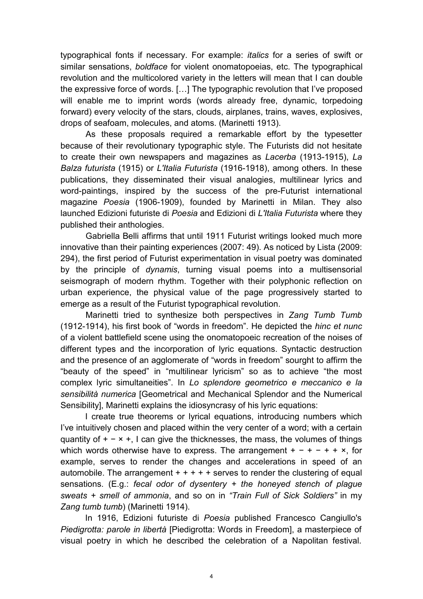typographical fonts if necessary. For example: *italics* for a series of swift or similar sensations, *boldface* for violent onomatopoeias, etc. The typographical revolution and the multicolored variety in the letters will mean that I can double the expressive force of words. […] The typographic revolution that I've proposed will enable me to imprint words (words already free, dynamic, torpedoing forward) every velocity of the stars, clouds, airplanes, trains, waves, explosives, drops of seafoam, molecules, and atoms. (Marinetti 1913).

As these proposals required a remarkable effort by the typesetter because of their revolutionary typographic style. The Futurists did not hesitate to create their own newspapers and magazines as *Lacerba* (1913-1915), *La Balza futurista* (1915) or *L'Italia Futurista* (1916-1918), among others. In these publications, they disseminated their visual analogies, multilinear lyrics and word-paintings, inspired by the success of the pre-Futurist international magazine *Poesia* (1906-1909), founded by Marinetti in Milan. They also launched Edizioni futuriste di *Poesia* and Edizioni di *L'Italia Futurista* where they published their anthologies.

Gabriella Belli affirms that until 1911 Futurist writings looked much more innovative than their painting experiences (2007: 49). As noticed by Lista (2009: 294), the first period of Futurist experimentation in visual poetry was dominated by the principle of *dynamis*, turning visual poems into a multisensorial seismograph of modern rhythm. Together with their polyphonic reflection on urban experience, the physical value of the page progressively started to emerge as a result of the Futurist typographical revolution.

Marinetti tried to synthesize both perspectives in *Zang Tumb Tumb*  (1912-1914), his first book of "words in freedom". He depicted the *hinc et nunc* of a violent battlefield scene using the onomatopoeic recreation of the noises of different types and the incorporation of lyric equations. Syntactic destruction and the presence of an agglomerate of "words in freedom" sourght to affirm the "beauty of the speed" in "multilinear lyricism" so as to achieve "the most complex lyric simultaneities". In *Lo splendore geometrico e meccanico e la sensibilità numerica* [Geometrical and Mechanical Splendor and the Numerical Sensibility], Marinetti explains the idiosyncrasy of his lyric equations:

I create true theorems or lyrical equations, introducing numbers which I've intuitively chosen and placed within the very center of a word; with a certain quantity of  $+ - \times +$ , I can give the thicknesses, the mass, the volumes of things which words otherwise have to express. The arrangement  $+ - + - + + \times$ , for example, serves to render the changes and accelerations in speed of an automobile. The arrangement  $+ + + + +$  serves to render the clustering of equal sensations. (E.g.: *fecal odor of dysentery + the honeyed stench of plague sweats + smell of ammonia*, and so on in *"Train Full of Sick Soldiers"* in my *Zang tumb tumb*) (Marinetti 1914).

In 1916, Edizioni futuriste di *Poesia* published Francesco Cangiullo's *Piedigrotta: parole in libertà* [Piedigrotta: Words in Freedom], a masterpiece of visual poetry in which he described the celebration of a Napolitan festival.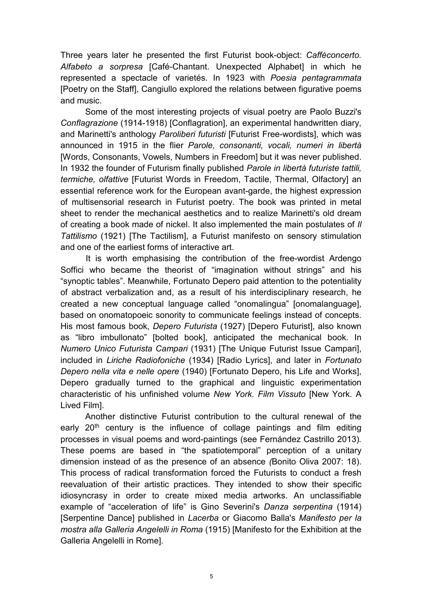Three years later he presented the first Futurist book-object: *Caffèconcerto. Alfabeto a sorpresa* [Café-Chantant. Unexpected Alphabet] in which he represented a spectacle of varietés. In 1923 with *Poesia pentagrammata*  [Poetry on the Staff], Cangiullo explored the relations between figurative poems and music.

Some of the most interesting projects of visual poetry are Paolo Buzzi's *Conflagrazione* (1914-1918) [Conflagration], an experimental handwritten diary, and Marinetti's anthology *Paroliberi futuristi* [Futurist Free-wordists], which was announced in 1915 in the flier *Parole, consonanti, vocali, numeri in libertà* [Words, Consonants, Vowels, Numbers in Freedom] but it was never published. In 1932 the founder of Futurism finally published *Parole in libertà futuriste tattili, termiche, olfattive* [Futurist Words in Freedom, Tactile, Thermal, Olfactory] an essential reference work for the European avant-garde, the highest expression of multisensorial research in Futurist poetry. The book was printed in metal sheet to render the mechanical aesthetics and to realize Marinetti's old dream of creating a book made of nickel. It also implemented the main postulates of *Il Tattilismo* (1921) [The Tactilism], a Futurist manifesto on sensory stimulation and one of the earliest forms of interactive art.

It is worth emphasising the contribution of the free-wordist Ardengo Soffici who became the theorist of "imagination without strings" and his "synoptic tables". Meanwhile, Fortunato Depero paid attention to the potentiality of abstract verbalization and, as a result of his interdisciplinary research, he created a new conceptual language called "onomalingua" [onomalanguage], based on onomatopoeic sonority to communicate feelings instead of concepts. His most famous book, *Depero Futurista* (1927) [Depero Futurist], also known as "libro imbullonato" [bolted book], anticipated the mechanical book. In *Numero Unico Futurista Campari* (1931) [The Unique Futurist Issue Campari], included in *Liriche Radiofoniche* (1934) [Radio Lyrics], and later in *Fortunato Depero nella vita e nelle opere* (1940) [Fortunato Depero, his Life and Works], Depero gradually turned to the graphical and linguistic experimentation characteristic of his unfinished volume *New York. Film Vissuto* [New York. A Lived Film].

Another distinctive Futurist contribution to the cultural renewal of the early  $20<sup>th</sup>$  century is the influence of collage paintings and film editing processes in visual poems and word-paintings (see Fernández Castrillo 2013)*.*  These poems are based in "the spatiotemporal" perception of a unitary dimension instead of as the presence of an absence *(*Bonito Oliva 2007: 18). This process of radical transformation forced the Futurists to conduct a fresh reevaluation of their artistic practices. They intended to show their specific idiosyncrasy in order to create mixed media artworks. An unclassifiable example of "acceleration of life" is Gino Severini's *Danza serpentina* (1914) [Serpentine Dance] published in *Lacerba* or Giacomo Balla's *Manifesto per la mostra alla Galleria Angelelli in Roma* (1915) [Manifesto for the Exhibition at the Galleria Angelelli in Rome].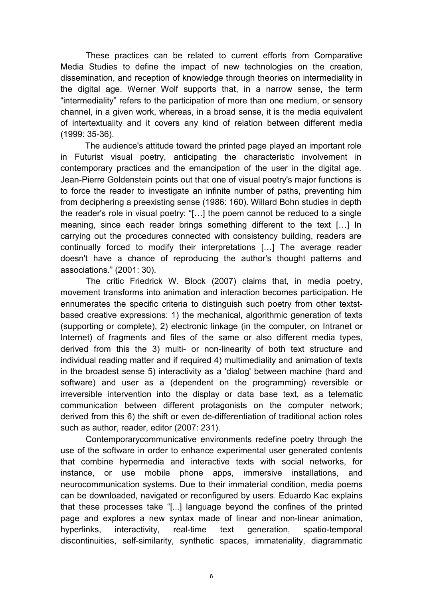These practices can be related to current efforts from Comparative Media Studies to define the impact of new technologies on the creation, dissemination, and reception of knowledge through theories on intermediality in the digital age. Werner Wolf supports that, in a narrow sense, the term "intermediality" refers to the participation of more than one medium, or sensory channel, in a given work, whereas, in a broad sense, it is the media equivalent of intertextuality and it covers any kind of relation between different media (1999: 35-36).

The audience's attitude toward the printed page played an important role in Futurist visual poetry, anticipating the characteristic involvement in contemporary practices and the emancipation of the user in the digital age. Jean-Pierre Goldenstein points out that one of visual poetry's major functions is to force the reader to investigate an infinite number of paths, preventing him from deciphering a preexisting sense (1986: 160). Willard Bohn studies in depth the reader's role in visual poetry: "[…] the poem cannot be reduced to a single meaning, since each reader brings something different to the text […] In carrying out the procedures connected with consistency building, readers are continually forced to modify their interpretations […] The average reader doesn't have a chance of reproducing the author's thought patterns and associations." (2001: 30).

The critic Friedrick W. Block (2007) claims that, in media poetry, movement transforms into animation and interaction becomes participation. He ennumerates the specific criteria to distinguish such poetry from other textstbased creative expressions: 1) the mechanical, algorithmic generation of texts (supporting or complete), 2) electronic linkage (in the computer, on Intranet or Internet) of fragments and files of the same or also different media types, derived from this the 3) multi- or non-linearity of both text structure and individual reading matter and if required 4) multimediality and animation of texts in the broadest sense 5) interactivity as a 'dialog' between machine (hard and software) and user as a (dependent on the programming) reversible or irreversible intervention into the display or data base text, as a telematic communication between different protagonists on the computer network; derived from this 6) the shift or even de-differentiation of traditional action roles such as author, reader, editor (2007: 231).

Contemporarycommunicative environments redefine poetry through the use of the software in order to enhance experimental user generated contents that combine hypermedia and interactive texts with social networks, for instance, or use mobile phone apps, immersive installations, and neurocommunication systems. Due to their immaterial condition, media poems can be downloaded, navigated or reconfigured by users. Eduardo Kac explains that these processes take "[...] language beyond the confines of the printed page and explores a new syntax made of linear and non-linear animation, hyperlinks, interactivity, real-time text generation, spatio-temporal discontinuities, self-similarity, synthetic spaces, immateriality, diagrammatic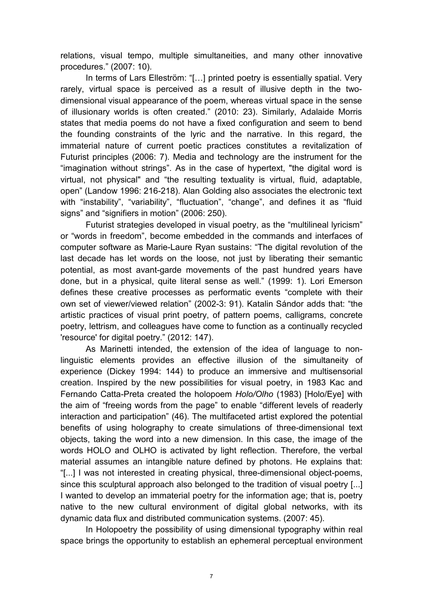relations, visual tempo, multiple simultaneities, and many other innovative procedures." (2007: 10).

In terms of Lars Elleström: "[…] printed poetry is essentially spatial. Very rarely, virtual space is perceived as a result of illusive depth in the twodimensional visual appearance of the poem, whereas virtual space in the sense of illusionary worlds is often created." (2010: 23). Similarly, Adalaide Morris states that media poems do not have a fixed configuration and seem to bend the founding constraints of the lyric and the narrative. In this regard, the immaterial nature of current poetic practices constitutes a revitalization of Futurist principles (2006: 7). Media and technology are the instrument for the "imagination without strings". As in the case of hypertext, "the digital word is virtual, not physical" and "the resulting textuality is virtual, fluid, adaptable, open" (Landow 1996: 216-218). Alan Golding also associates the electronic text with "instability", "variability", "fluctuation", "change", and defines it as "fluid signs" and "signifiers in motion" (2006: 250).

Futurist strategies developed in visual poetry, as the "multilineal lyricism" or "words in freedom", become embedded in the commands and interfaces of computer software as Marie-Laure Ryan sustains: "The digital revolution of the last decade has let words on the loose, not just by liberating their semantic potential, as most avant-garde movements of the past hundred years have done, but in a physical, quite literal sense as well." (1999: 1). Lori Emerson defines these creative processes as performatic events "complete with their own set of viewer/viewed relation" (2002-3: 91). Katalin Sándor adds that: "the artistic practices of visual print poetry, of pattern poems, calligrams, concrete poetry, lettrism, and colleagues have come to function as a continually recycled 'resource' for digital poetry." (2012: 147).

As Marinetti intended, the extension of the idea of language to nonlinguistic elements provides an effective illusion of the simultaneity of experience (Dickey 1994: 144) to produce an immersive and multisensorial creation. Inspired by the new possibilities for visual poetry, in 1983 Kac and Fernando Catta-Preta created the holopoem *Holo/Olho* (1983) [Holo/Eye] with the aim of "freeing words from the page" to enable "different levels of readerly interaction and participation" (46). The multifaceted artist explored the potential benefits of using holography to create simulations of three-dimensional text objects, taking the word into a new dimension. In this case, the image of the words HOLO and OLHO is activated by light reflection. Therefore, the verbal material assumes an intangible nature defined by photons. He explains that: "[...] I was not interested in creating physical, three-dimensional object-poems, since this sculptural approach also belonged to the tradition of visual poetry [...] I wanted to develop an immaterial poetry for the information age; that is, poetry native to the new cultural environment of digital global networks, with its dynamic data flux and distributed communication systems. (2007: 45).

In Holopoetry the possibility of using dimensional typography within real space brings the opportunity to establish an ephemeral perceptual environment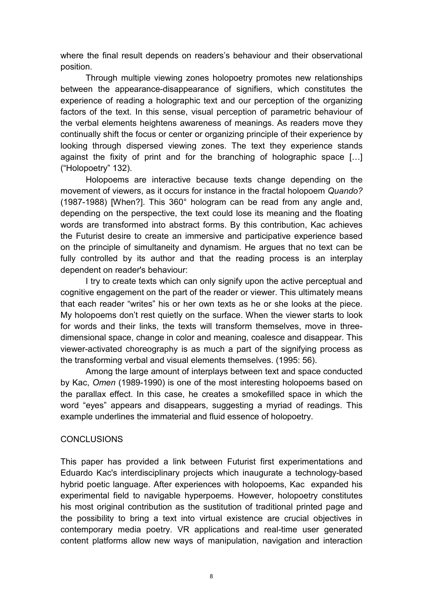where the final result depends on readers's behaviour and their observational position.

Through multiple viewing zones holopoetry promotes new relationships between the appearance-disappearance of signifiers, which constitutes the experience of reading a holographic text and our perception of the organizing factors of the text. In this sense, visual perception of parametric behaviour of the verbal elements heightens awareness of meanings. As readers move they continually shift the focus or center or organizing principle of their experience by looking through dispersed viewing zones. The text they experience stands against the fixity of print and for the branching of holographic space […] ("Holopoetry" 132).

Holopoems are interactive because texts change depending on the movement of viewers, as it occurs for instance in the fractal holopoem *Quando?* (1987-1988) [When?]. This 360° hologram can be read from any angle and, depending on the perspective, the text could lose its meaning and the floating words are transformed into abstract forms. By this contribution, Kac achieves the Futurist desire to create an immersive and participative experience based on the principle of simultaneity and dynamism. He argues that no text can be fully controlled by its author and that the reading process is an interplay dependent on reader's behaviour:

I try to create texts which can only signify upon the active perceptual and cognitive engagement on the part of the reader or viewer. This ultimately means that each reader "writes" his or her own texts as he or she looks at the piece. My holopoems don't rest quietly on the surface. When the viewer starts to look for words and their links, the texts will transform themselves, move in threedimensional space, change in color and meaning, coalesce and disappear. This viewer-activated choreography is as much a part of the signifying process as the transforming verbal and visual elements themselves. (1995: 56).

Among the large amount of interplays between text and space conducted by Kac, *Omen* (1989-1990) is one of the most interesting holopoems based on the parallax effect. In this case, he creates a smokefilled space in which the word "eyes" appears and disappears, suggesting a myriad of readings. This example underlines the immaterial and fluid essence of holopoetry.

# **CONCLUSIONS**

This paper has provided a link between Futurist first experimentations and Eduardo Kac's interdisciplinary projects which inaugurate a technology-based hybrid poetic language. After experiences with holopoems, Kac expanded his experimental field to navigable hyperpoems. However, holopoetry constitutes his most original contribution as the sustitution of traditional printed page and the possibility to bring a text into virtual existence are crucial objectives in contemporary media poetry. VR applications and real-time user generated content platforms allow new ways of manipulation, navigation and interaction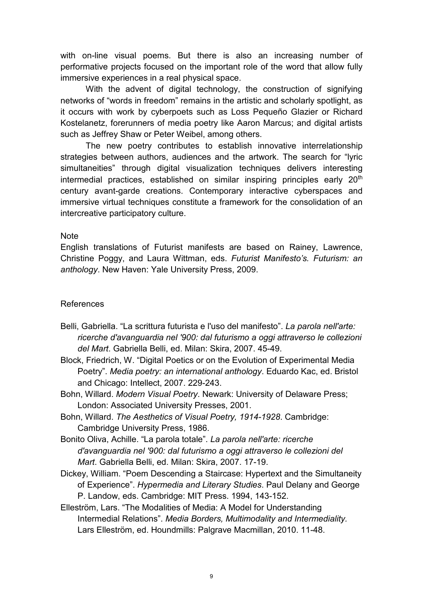with on-line visual poems. But there is also an increasing number of performative projects focused on the important role of the word that allow fully immersive experiences in a real physical space.

With the advent of digital technology, the construction of signifying networks of "words in freedom" remains in the artistic and scholarly spotlight, as it occurs with work by cyberpoets such as Loss Pequeño Glazier or Richard Kostelanetz, forerunners of media poetry like Aaron Marcus; and digital artists such as Jeffrey Shaw or Peter Weibel, among others.

The new poetry contributes to establish innovative interrelationship strategies between authors, audiences and the artwork. The search for "lyric simultaneities" through digital visualization techniques delivers interesting intermedial practices, established on similar inspiring principles early 20<sup>th</sup> century avant-garde creations. Contemporary interactive cyberspaces and immersive virtual techniques constitute a framework for the consolidation of an intercreative participatory culture.

### **Note**

English translations of Futurist manifests are based on Rainey, Lawrence, Christine Poggy, and Laura Wittman, eds. *Futurist Manifesto's. Futurism: an anthology*. New Haven: Yale University Press, 2009.

# References

- Belli, Gabriella. "La scrittura futurista e l'uso del manifesto". *La parola nell'arte: ricerche d'avanguardia nel '900: dal futurismo a oggi attraverso le collezioni del Mart*. Gabriella Belli, ed. Milan: Skira, 2007. 45-49.
- Block, Friedrich, W. "Digital Poetics or on the Evolution of Experimental Media Poetry". *Media poetry: an international anthology*. Eduardo Kac, ed. Bristol and Chicago: Intellect, 2007. 229-243.
- Bohn, Willard. *Modern Visual Poetry*. Newark: University of Delaware Press; London: Associated University Presses, 2001.
- Bohn, Willard. *The Aesthetics of Visual Poetry, 1914-1928*. Cambridge: Cambridge University Press, 1986.
- Bonito Oliva, Achille. "La parola totale". *La parola nell'arte: ricerche d'avanguardia nel '900: dal futurismo a oggi attraverso le collezioni del Mart*. Gabriella Belli, ed. Milan: Skira, 2007. 17-19.
- Dickey, William. "Poem Descending a Staircase: Hypertext and the Simultaneity of Experience". *Hypermedia and Literary Studies*. Paul Delany and George P. Landow, eds. Cambridge: MIT Press. 1994, 143-152.
- Elleström, Lars. "The Modalities of Media: A Model for Understanding Intermedial Relations". *Media Borders, Multimodality and Intermediality.* Lars Elleström, ed. Houndmills: Palgrave Macmillan, 2010. 11-48.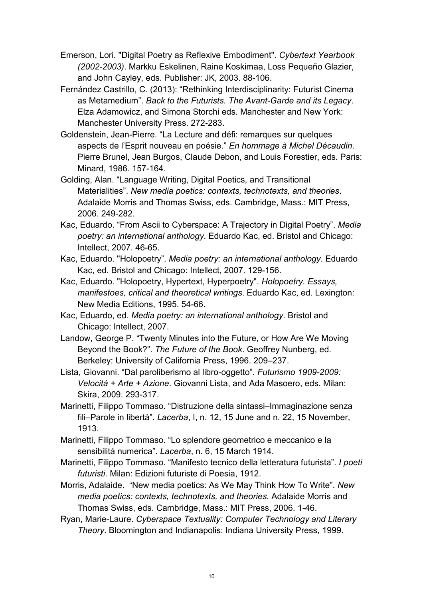- Emerson, Lori. "Digital Poetry as Reflexive Embodiment". *Cybertext Yearbook (2002-2003)*. Markku Eskelinen, Raine Koskimaa, Loss Pequeño Glazier, and John Cayley, eds. Publisher: JK, 2003. 88-106.
- Fernández Castrillo, C. (2013): "Rethinking Interdisciplinarity: Futurist Cinema as Metamedium". *Back to the Futurists. The Avant-Garde and its Legacy*. Elza Adamowicz, and Simona Storchi eds. Manchester and New York: Manchester University Press. 272-283.
- Goldenstein, Jean-Pierre. "La Lecture and défi: remarques sur quelques aspects de l'Esprit nouveau en poésie." *En hommage à Michel Décaudin*. Pierre Brunel, Jean Burgos, Claude Debon, and Louis Forestier, eds. Paris: Minard, 1986. 157-164.
- Golding, Alan. "Language Writing, Digital Poetics, and Transitional Materialities". *New media poetics: contexts, technotexts, and theories*. Adalaide Morris and Thomas Swiss, eds. Cambridge, Mass.: MIT Press, 2006. 249-282.
- Kac, Eduardo. "From Ascii to Cyberspace: A Trajectory in Digital Poetry". *Media poetry: an international anthology*. Eduardo Kac, ed. Bristol and Chicago: Intellect, 2007. 46-65.
- Kac, Eduardo. "Holopoetry". *Media poetry: an international anthology*. Eduardo Kac, ed. Bristol and Chicago: Intellect, 2007. 129-156.
- Kac, Eduardo. "Holopoetry, Hypertext, Hyperpoetry". *Holopoetry. Essays, manifestoes, critical and theoretical writings*. Eduardo Kac, ed. Lexington: New Media Editions, 1995. 54-66.
- Kac, Eduardo, ed. *Media poetry: an international anthology*. Bristol and Chicago: Intellect, 2007.
- Landow, George P. "Twenty Minutes into the Future, or How Are We Moving Beyond the Book?". *The Future of the Book*. Geoffrey Nunberg, ed. Berkeley: University of California Press, 1996. 209–237.
- Lista, Giovanni. "Dal paroliberismo al libro-oggetto". *Futurismo 1909-2009: Velocità + Arte + Azione*. Giovanni Lista, and Ada Masoero, eds. Milan: Skira, 2009. 293-317.
- Marinetti, Filippo Tommaso. "Distruzione della sintassi–Immaginazione senza fili–Parole in libertà". *Lacerba*, I, n. 12, 15 June and n. 22, 15 November, 1913.
- Marinetti, Filippo Tommaso. "Lo splendore geometrico e meccanico e la sensibilitá numerica". *Lacerba*, n. 6, 15 March 1914.
- Marinetti, Filippo Tommaso. "Manifesto tecnico della letteratura futurista". *I poeti futuristi*. Milan: Edizioni futuriste di Poesia, 1912.
- Morris, Adalaide. "New media poetics: As We May Think How To Write". *New media poetics: contexts, technotexts, and theories*. Adalaide Morris and Thomas Swiss, eds. Cambridge, Mass.: MIT Press, 2006. 1-46.
- Ryan, Marie-Laure. *Cyberspace Textuality: Computer Technology and Literary Theory*. Bloomington and Indianapolis: Indiana University Press, 1999.